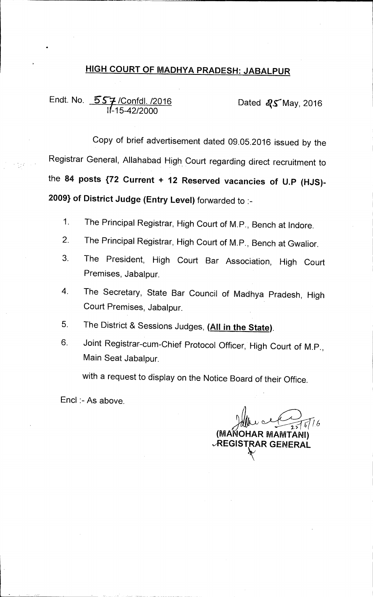## **HIGH COURT OF MADHYA PRADESH: JABALPUR**

# Endt. No. **557** /Confdl. /2016 **Dated R5** May, 2016 1(-15-42/2000

Copy of brief advertisement dated 09.05.2016 issued by the Registrar General, Allahabad High. Court regarding direct recruitment to the **84 posts {72 Current + 12 Reserved vacancies of U.P (HJS)- 2009) of District Judge (Entry Level)** forwarded to :-

- 1. The Principal Registrar, High Court of M.P., Bench at Indore.
- 2. The Principal Registrar, High Court of M.P., Bench at Gwalior.
- 3. The President, High Court Bar Association, High Court Premises, Jabalpur.
- 4. The Secretary, State Bar Council of Madhya Pradesh, High Court Premises, Jabalpur.
- 5. The District & Sessions Judges, **(All in the State).**
- 6. Joint Registrar-cum-Chief Protocol Officer, High Court of M.P., Main Seat Jabalpur.

with a request to display on the Notice Board of their Office.

 $End: A$ s above.

**2,>( 4 (MANOHAR MAMTANI) "REGISTRAR GENERAL**